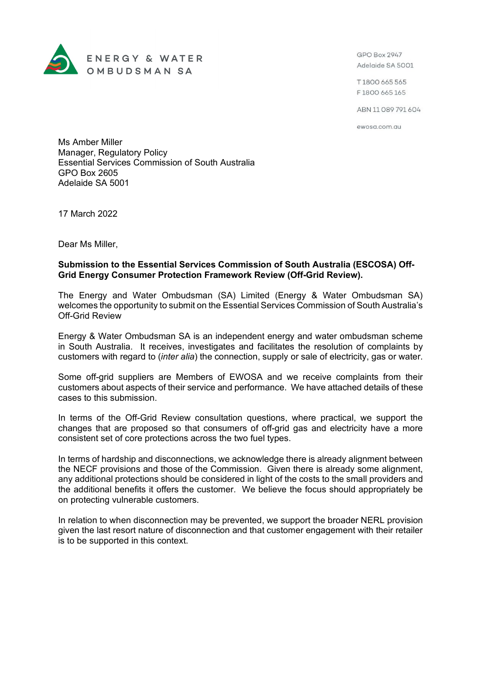

GPO Box 2947 Adelaide SA 5001

T1800 665 565 F1800 665 165

ABN 11089791604

ewosa.com.au

Ms Amber Miller Manager, Regulatory Policy Essential Services Commission of South Australia GPO Box 2605 Adelaide SA 5001

17 March 2022

Dear Ms Miller,

## **Submission to the Essential Services Commission of South Australia (ESCOSA) Off-Grid Energy Consumer Protection Framework Review (Off-Grid Review).**

The Energy and Water Ombudsman (SA) Limited (Energy & Water Ombudsman SA) welcomes the opportunity to submit on the Essential Services Commission of South Australia's Off-Grid Review

Energy & Water Ombudsman SA is an independent energy and water ombudsman scheme in South Australia. It receives, investigates and facilitates the resolution of complaints by customers with regard to (*inter alia*) the connection, supply or sale of electricity, gas or water.

Some off-grid suppliers are Members of EWOSA and we receive complaints from their customers about aspects of their service and performance. We have attached details of these cases to this submission.

In terms of the Off-Grid Review consultation questions, where practical, we support the changes that are proposed so that consumers of off-grid gas and electricity have a more consistent set of core protections across the two fuel types.

In terms of hardship and disconnections, we acknowledge there is already alignment between the NECF provisions and those of the Commission. Given there is already some alignment, any additional protections should be considered in light of the costs to the small providers and the additional benefits it offers the customer. We believe the focus should appropriately be on protecting vulnerable customers.

In relation to when disconnection may be prevented, we support the broader NERL provision given the last resort nature of disconnection and that customer engagement with their retailer is to be supported in this context.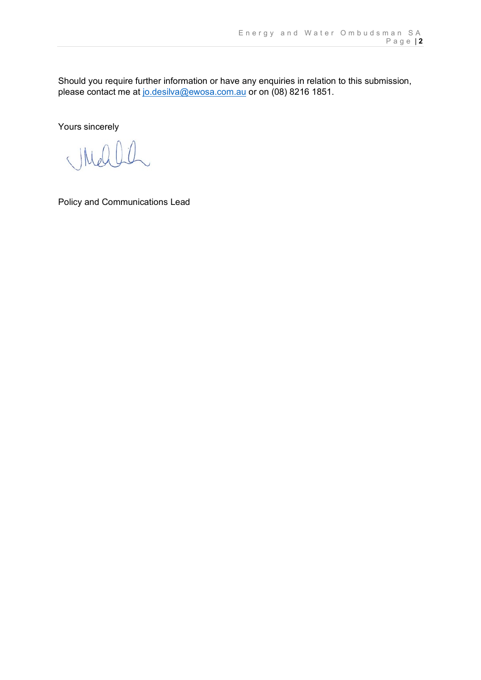Should you require further information or have any enquiries in relation to this submission, please contact me at [jo.desilva@ewosa.com.au](mailto:jo.desilva@ewosa.com.au) or on (08) 8216 1851.

Yours sincerely

 $\left($ 

Policy and Communications Lead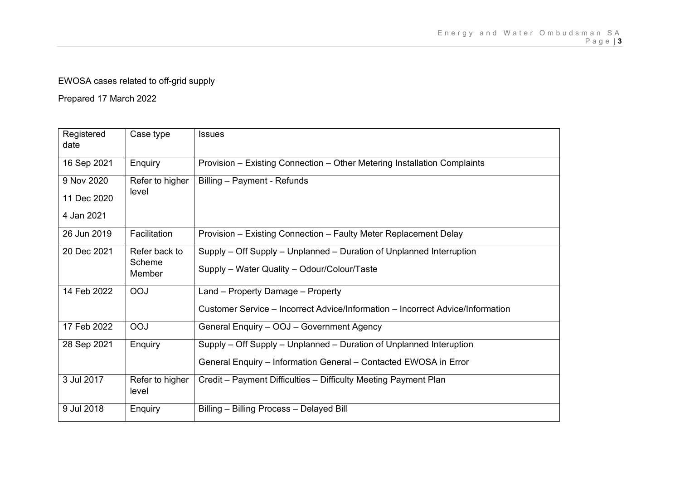## EWOSA cases related to off-grid supply

Prepared 17 March 2022

| Registered  | Case type                | <b>Issues</b>                                                                  |
|-------------|--------------------------|--------------------------------------------------------------------------------|
| date        |                          |                                                                                |
| 16 Sep 2021 | Enquiry                  | Provision - Existing Connection - Other Metering Installation Complaints       |
| 9 Nov 2020  | Refer to higher          | Billing - Payment - Refunds                                                    |
| 11 Dec 2020 | level                    |                                                                                |
| 4 Jan 2021  |                          |                                                                                |
| 26 Jun 2019 | Facilitation             | Provision - Existing Connection - Faulty Meter Replacement Delay               |
| 20 Dec 2021 | Refer back to            | Supply – Off Supply – Unplanned – Duration of Unplanned Interruption           |
|             | Scheme<br>Member         | Supply - Water Quality - Odour/Colour/Taste                                    |
| 14 Feb 2022 | <b>OOJ</b>               | Land - Property Damage - Property                                              |
|             |                          | Customer Service - Incorrect Advice/Information - Incorrect Advice/Information |
| 17 Feb 2022 | <b>OOJ</b>               | General Enquiry - OOJ - Government Agency                                      |
| 28 Sep 2021 | Enquiry                  | Supply – Off Supply – Unplanned – Duration of Unplanned Interuption            |
|             |                          | General Enquiry - Information General - Contacted EWOSA in Error               |
| 3 Jul 2017  | Refer to higher<br>level | Credit - Payment Difficulties - Difficulty Meeting Payment Plan                |
| 9 Jul 2018  | Enquiry                  | Billing - Billing Process - Delayed Bill                                       |